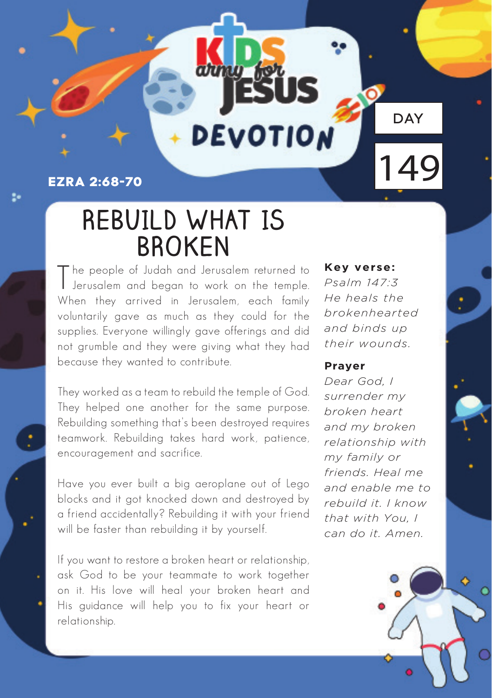### **Ezra 2:68-70**

20

## **REBUILD WHAT IS BROKEN**

**DEVOTION** 

T he people of Judah and Jerusalem returned to Jerusalem and began to work on the temple. When they arrived in Jerusalem, each family voluntarily gave as much as they could for the supplies. Everyone willingly gave offerings and did not grumble and they were giving what they had because they wanted to contribute.

They worked as a team to rebuild the temple of God. They helped one another for the same purpose. Rebuilding something that's been destroyed requires teamwork. Rebuilding takes hard work, patience, encouragement and sacrifice.

Have you ever built a big aeroplane out of Lego blocks and it got knocked down and destroyed by a friend accidentally? Rebuilding it with your friend will be faster than rebuilding it by yourself.

If you want to restore a broken heart or relationship, ask God to be your teammate to work together on it. His love will heal your broken heart and His guidance will help you to fix your heart or relationship.

#### **Key verse:**

*Psalm 147:3 He heals the brokenhearted and binds up their wounds.*

**DAY** 

149

#### **Prayer**

*Dear God, I surrender my broken heart and my broken relationship with my family or friends. Heal me and enable me to rebuild it. I know that with You, I can do it. Amen.*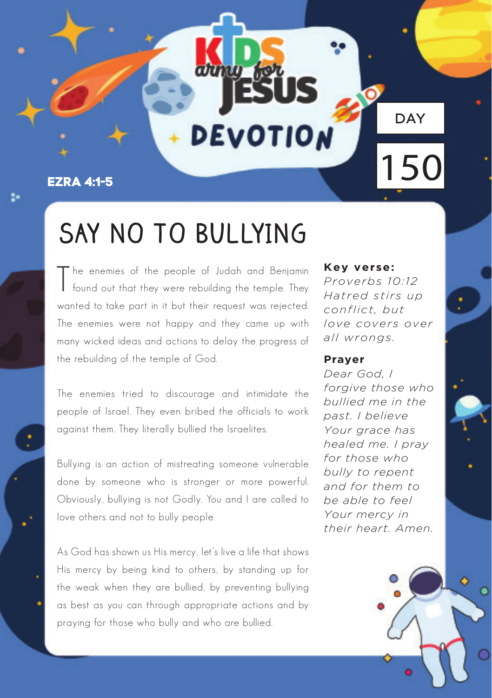#### **Ezra 4:1-5**

24

# **SAY NO TO BULLYING**

DEVOTION

T he enemies of the people of Judah and Benjamin found out that they were rebuilding the temple. They wanted to take part in it but their request was rejected. The enemies were not happy and they came up with many wicked ideas and actions to delay the progress of the rebuilding of the temple of God.

The enemies tried to discourage and intimidate the people of Israel. They even bribed the officials to work against them. They literally bullied the Israelites.

Bullying is an action of mistreating someone vulnerable done by someone who is stronger or more powerful. Obviously, bullying is not Godly. You and I are called to love others and not to bully people.

As God has shown us His mercy, let's live a life that shows His mercy by being kind to others, by standing up for the weak when they are bullied, by preventing bullying as best as you can through appropriate actions and by praying for those who bully and who are bullied.

#### **Key verse:**

*Proverbs 10:12 Hatred stirs up conflict, but love covers over all wrongs.*

DAY

150

#### **Prayer**

*Dear God, I forgive those who bullied me in the past. I believe Your grace has healed me. I pray for those who bully to repent and for them to be able to feel Your mercy in their heart. Amen.*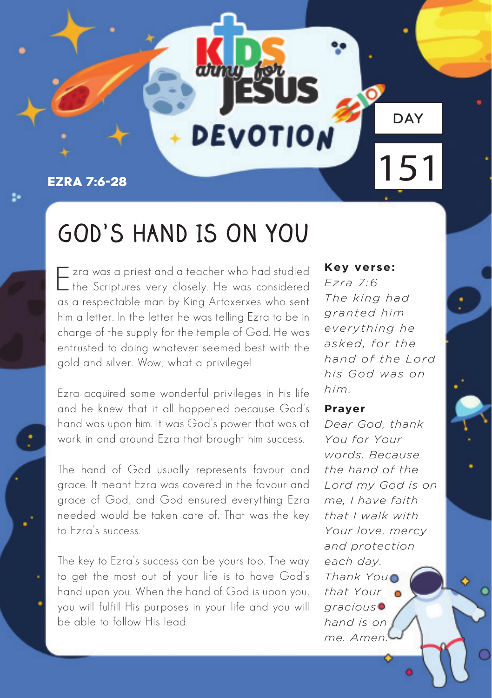### **Ezra 7:6-28**

9

## **GOD'S HAND IS ON YOU**

**DEVOTION** 

Ezra was a priest and a teacher who had studied the Scriptures very closely. He was considered as a respectable man by King Artaxerxes who sent him a letter. In the letter he was telling Ezra to be in charge of the supply for the temple of God. He was entrusted to doing whatever seemed best with the gold and silver. Wow, what a privilege!

Ezra acquired some wonderful privileges in his life and he knew that it all happened because God's hand was upon him. It was God's power that was at work in and around Ezra that brought him success.

The hand of God usually represents favour and grace. It meant Ezra was covered in the favour and grace of God, and God ensured everything Ezra needed would be taken care of. That was the key to Ezra's success.

The key to Ezra's success can be yours too. The way to get the most out of your life is to have God's hand upon you. When the hand of God is upon you, you will fulfill His purposes in your life and you will be able to follow His lead.

**Key verse:** 

*Ezra 7:6 The king had granted him everything he asked, for the hand of the Lord his God was on him.*

**DAY** 

151

#### **Prayer**

*Dear God, thank You for Your words. Because the hand of the Lord my God is on me, I have faith that I walk with Your love, mercy and protection each day. Thank You that Your gracious hand is on me. Amen.*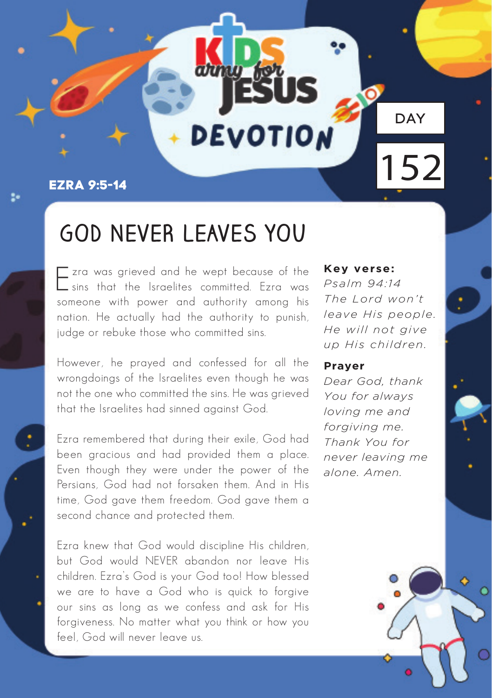#### **Ezra 9:5-14**

### **GOD NEVER LEAVES YOU**

DEVOTION

Ezra was grieved and he wept because of the sins that the Israelites committed. Ezra was someone with power and authority among his nation. He actually had the authority to punish, judge or rebuke those who committed sins.

However, he prayed and confessed for all the wrongdoings of the Israelites even though he was not the one who committed the sins. He was grieved that the Israelites had sinned against God.

Ezra remembered that during their exile, God had been gracious and had provided them a place. Even though they were under the power of the Persians, God had not forsaken them. And in His time, God gave them freedom. God gave them a second chance and protected them.

Ezra knew that God would discipline His children, but God would NEVER abandon nor leave His children. Ezra's God is your God too! How blessed we are to have a God who is quick to forgive our sins as long as we confess and ask for His forgiveness. No matter what you think or how you feel, God will never leave us.

#### **Key verse:**

*Psalm 94:14 The Lord won't leave His people. He will not give up His children.*

DAY

152

#### **Prayer**

*Dear God, thank You for always loving me and forgiving me. Thank You for never leaving me alone. Amen.*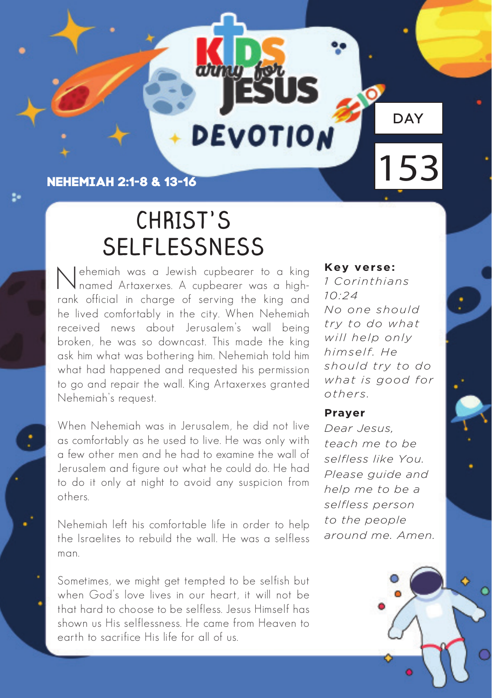**Nehemiah 2:1-8 & 13-16**

9

## **CHRIST'S SELFLESSNESS**

DEVOTION

Nehemiah was a Jewish cupbearer to a king named Artaxerxes. A cupbearer was a highrank official in charge of serving the king and he lived comfortably in the city. When Nehemiah received news about Jerusalem's wall being broken, he was so downcast. This made the king ask him what was bothering him. Nehemiah told him what had happened and requested his permission to go and repair the wall. King Artaxerxes granted Nehemiah's request.

When Nehemiah was in Jerusalem, he did not live as comfortably as he used to live. He was only with a few other men and he had to examine the wall of Jerusalem and figure out what he could do. He had to do it only at night to avoid any suspicion from others.

Nehemiah left his comfortable life in order to help the Israelites to rebuild the wall. He was a selfless man.

Sometimes, we might get tempted to be selfish but when God's love lives in our heart, it will not be that hard to choose to be selfless. Jesus Himself has shown us His selflessness. He came from Heaven to earth to sacrifice His life for all of us.

**Key verse:** 

*1 Corinthians 10:24 No one should try to do what will help only himself. He should try to do what is good for others.*

DAY

153

#### **Prayer**

*Dear Jesus, teach me to be selfless like You. Please guide and help me to be a selfless person to the people around me. Amen.*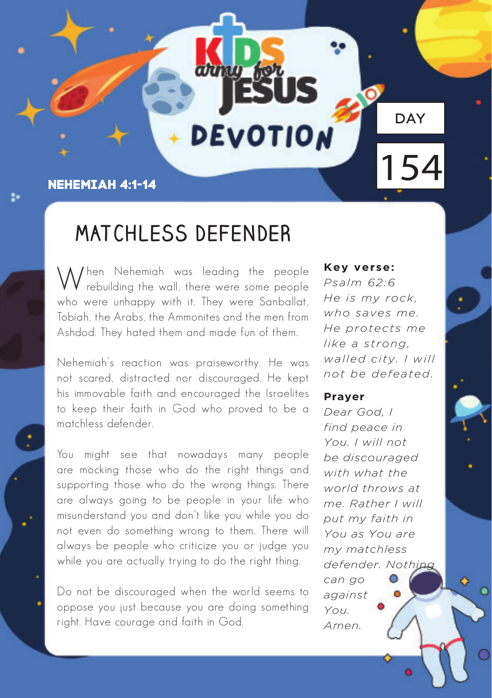### **Nehemiah 4:1-14**

### **MATCHLESS DEFENDER**

DEVOTION

*<u>I* hen Nehemiah was leading the people</u> rebuilding the wall, there were some people who were unhappy with it. They were Sanballat, Tobiah, the Arabs, the Ammonites and the men from Ashdod. They hated them and made fun of them.

Nehemiah's reaction was praiseworthy. He was not scared, distracted nor discouraged. He kept his immovable faith and encouraged the Israelites to keep their faith in God who proved to be a matchless defender.

You might see that nowadays many people are mocking those who do the right things and supporting those who do the wrong things. There are always going to be people in your life who misunderstand you and don't like you while you do not even do something wrong to them. There will always be people who criticize you or judge you while you are actually trying to do the right thing.

Do not be discouraged when the world seems to oppose you just because you are doing something right. Have courage and faith in God.

#### **Key verse:**

*Psalm 62:6 He is my rock, who saves me. He protects me like a strong, walled city. I will not be defeated.*

DAY

154

#### **Prayer**

*Dear God, I find peace in You. I will not be discouraged with what the world throws at me. Rather I will put my faith in You as You are my matchless defender. Nothing can go against You. Amen.*